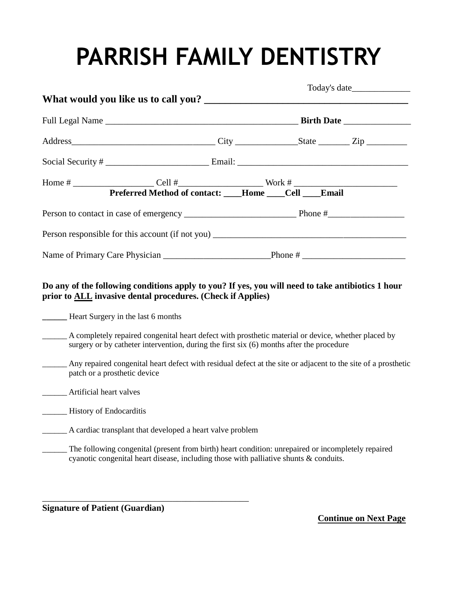# **PARRISH FAMILY DENTISTRY**

|                                                                                   | Preferred Method of contact: ____Home ____Cell ____Email |  |  |  |  |  |
|-----------------------------------------------------------------------------------|----------------------------------------------------------|--|--|--|--|--|
|                                                                                   |                                                          |  |  |  |  |  |
| Person responsible for this account (if not you) ________________________________ |                                                          |  |  |  |  |  |
|                                                                                   |                                                          |  |  |  |  |  |

#### **Do any of the following conditions apply to you? If yes, you will need to take antibiotics 1 hour prior to ALL invasive dental procedures. (Check if Applies)**

**\_\_\_\_\_\_** Heart Surgery in the last 6 months

- \_\_\_\_\_\_ A completely repaired congenital heart defect with prosthetic material or device, whether placed by surgery or by catheter intervention, during the first six (6) months after the procedure
- \_\_\_\_\_\_ Any repaired congenital heart defect with residual defect at the site or adjacent to the site of a prosthetic patch or a prosthetic device
	- \_\_\_\_\_\_ Artificial heart valves
- \_\_\_\_\_\_ History of Endocarditis
- \_\_\_\_\_\_ A cardiac transplant that developed a heart valve problem

\_\_\_\_\_\_\_\_\_\_\_\_\_\_\_\_\_\_\_\_\_\_\_\_\_\_\_\_\_\_\_\_\_\_\_\_\_\_\_\_\_\_\_\_\_\_

\_\_\_\_\_\_ The following congenital (present from birth) heart condition: unrepaired or incompletely repaired cyanotic congenital heart disease, including those with palliative shunts & conduits.

**Signature of Patient (Guardian)**

 **Continue on Next Page**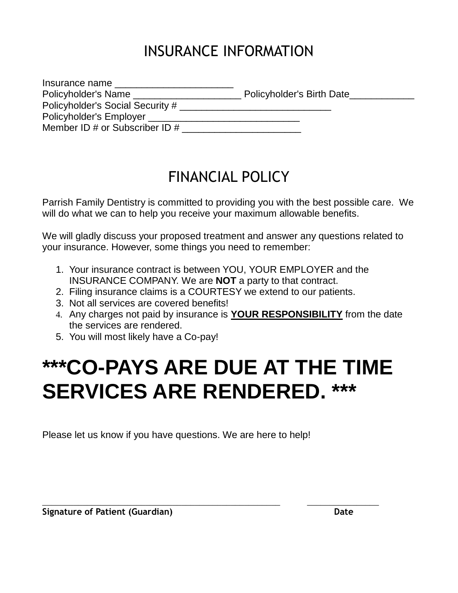## INSURANCE INFORMATION

| Insurance name                     |                           |
|------------------------------------|---------------------------|
| Policyholder's Name                | Policyholder's Birth Date |
| Policyholder's Social Security #   |                           |
| Policyholder's Employer            |                           |
| Member ID $#$ or Subscriber ID $#$ |                           |

### FINANCIAL POLICY

Parrish Family Dentistry is committed to providing you with the best possible care. We will do what we can to help you receive your maximum allowable benefits.

We will gladly discuss your proposed treatment and answer any questions related to your insurance. However, some things you need to remember:

- 1. Your insurance contract is between YOU, YOUR EMPLOYER and the INSURANCE COMPANY. We are **NOT** a party to that contract.
- 2. Filing insurance claims is a COURTESY we extend to our patients.
- 3. Not all services are covered benefits!
- 4. Any charges not paid by insurance is **YOUR RESPONSIBILITY** from the date the services are rendered.
- 5. You will most likely have a Co-pay!

## **\*\*\*CO-PAYS ARE DUE AT THE TIME SERVICES ARE RENDERED. \*\*\***

\_\_\_\_\_\_\_\_\_\_\_\_\_\_\_\_\_\_\_\_\_\_\_\_\_\_\_\_\_\_\_\_\_\_\_\_\_\_\_\_\_\_\_\_\_\_\_\_\_\_\_\_\_ \_\_\_\_\_\_\_\_\_\_\_\_\_\_\_\_

Please let us know if you have questions. We are here to help!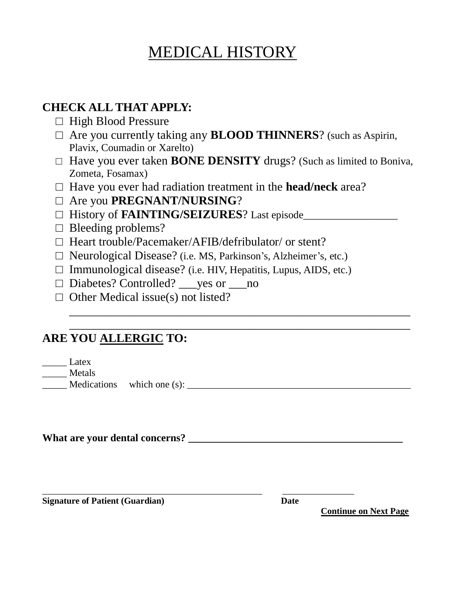## MEDICAL HISTORY

### **CHECK ALL THAT APPLY:**

- □ High Blood Pressure
- □ Are you currently taking any **BLOOD THINNERS**? (such as Aspirin, Plavix, Coumadin or Xarelto)
- □ Have you ever taken **BONE DENSITY** drugs? (Such as limited to Boniva, Zometa, Fosamax)

\_\_\_\_\_\_\_\_\_\_\_\_\_\_\_\_\_\_\_\_\_\_\_\_\_\_\_\_\_\_\_\_\_\_\_\_\_\_\_\_\_\_\_\_\_\_\_\_\_\_\_\_\_\_\_\_\_

- □ Have you ever had radiation treatment in the **head/neck** area?
- □ Are you **PREGNANT/NURSING**?
- □ History of **FAINTING/SEIZURES**? Last episode\_\_\_\_\_\_\_\_\_\_\_\_\_\_\_\_\_\_
- $\Box$  Bleeding problems?
- □ Heart trouble/Pacemaker/AFIB/defribulator/ or stent?
- □ Neurological Disease? (i.e. MS, Parkinson's, Alzheimer's, etc.)
- $\Box$  Immunological disease? (i.e. HIV, Hepatitis, Lupus, AIDS, etc.)
- □ Diabetes? Controlled? ves or \_\_\_ no
- $\Box$  Other Medical issue(s) not listed?

### \_\_\_\_\_\_\_\_\_\_\_\_\_\_\_\_\_\_\_\_\_\_\_\_\_\_\_\_\_\_\_\_\_\_\_\_\_\_\_\_\_\_\_\_\_\_\_\_\_\_\_\_\_\_\_\_\_ **ARE YOU ALLERGIC TO:**

\_\_\_\_\_ Latex

\_\_\_\_\_ Metals

 $\text{Medications}$  which one (s):

**What are your dental concerns? \_\_\_\_\_\_\_\_\_\_\_\_\_\_\_\_\_\_\_\_\_\_\_\_\_\_\_\_\_\_\_\_\_\_\_\_\_\_\_\_\_**

**Signature of Patient (Guardian)** Date

\_\_\_\_\_\_\_\_\_\_\_\_\_\_\_\_\_\_\_\_\_\_\_\_\_\_\_\_\_\_\_\_\_\_\_\_\_\_\_\_\_\_\_\_\_\_\_\_\_ \_\_\_\_\_\_\_\_\_\_\_\_\_\_\_\_

 **Continue on Next Page**